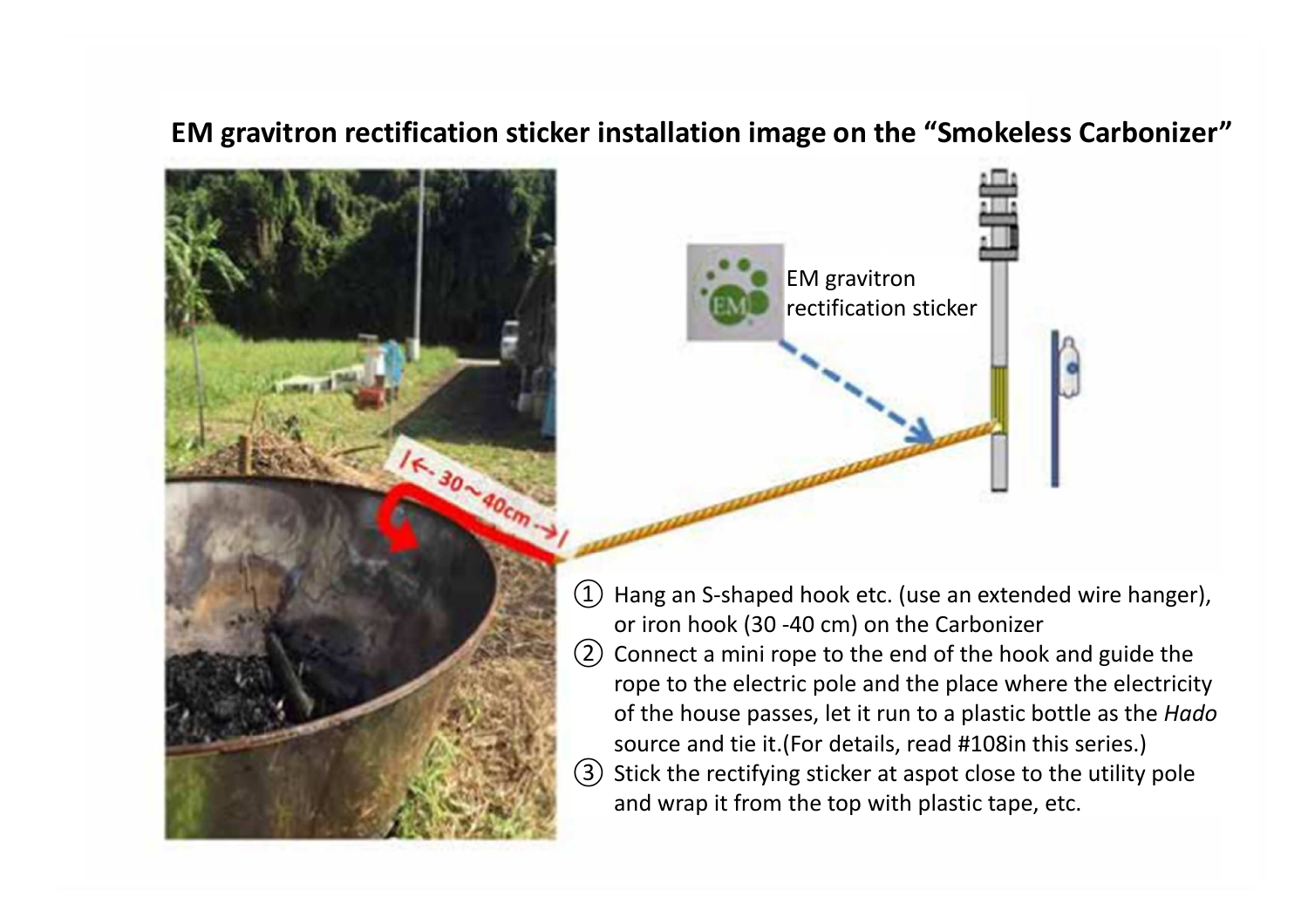## **EM gravitron rectification sticker installation image on the "Smokeless Carbonizer"**





- $(1)$  Hang an S-shaped hook etc. (use an extended wire hanger), or iron hook (30 -40 cm) on the Carbonizer
- $(2)$  Connect a mini rope to the end of the hook and guide the rope to the electric pole and the place where the electricity of the house passes, let it run to a plastic bottle as the *Hado*source and tie it.(For details, read #108in this series.)
- ③ Stick the rectifying sticker at aspot close to the utility pole and wrap it from the top with plastic tape, etc.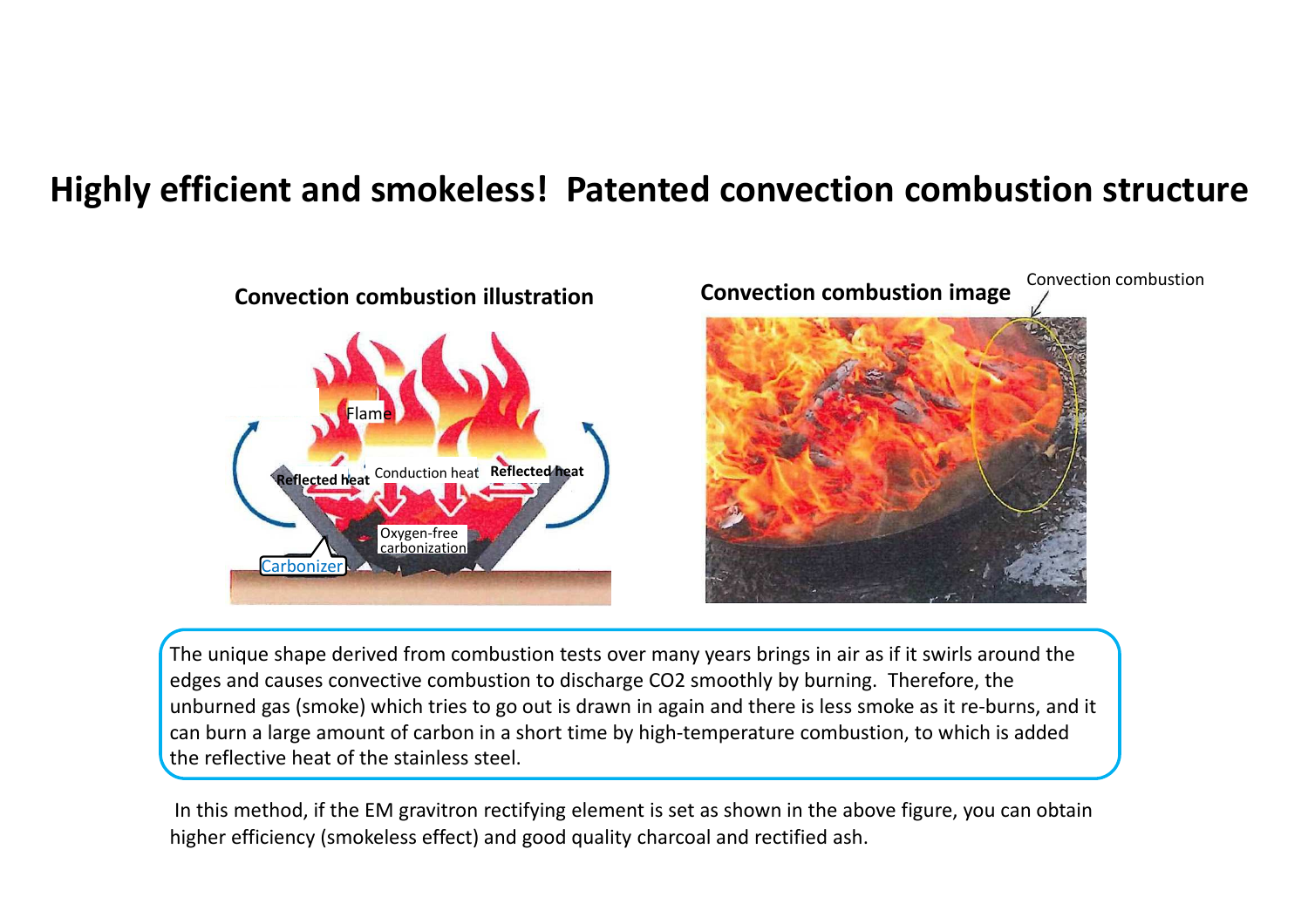## **Highly efficient and smokeless! Patented convection combustion structure**



The unique shape derived from combustion tests over many years brings in air as if it swirls around the edges and causes convective combustion to discharge CO2 smoothly by burning. Therefore, the unburned gas (smoke) which tries to go out is drawn in again and there is less smoke as it re-burns, and it can burn a large amount of carbon in a short time by high-temperature combustion, to which is added the reflective heat of the stainless steel.

In this method, if the EM gravitron rectifying element is set as shown in the above figure, you can obtainhigher efficiency (smokeless effect) and good quality charcoal and rectified ash.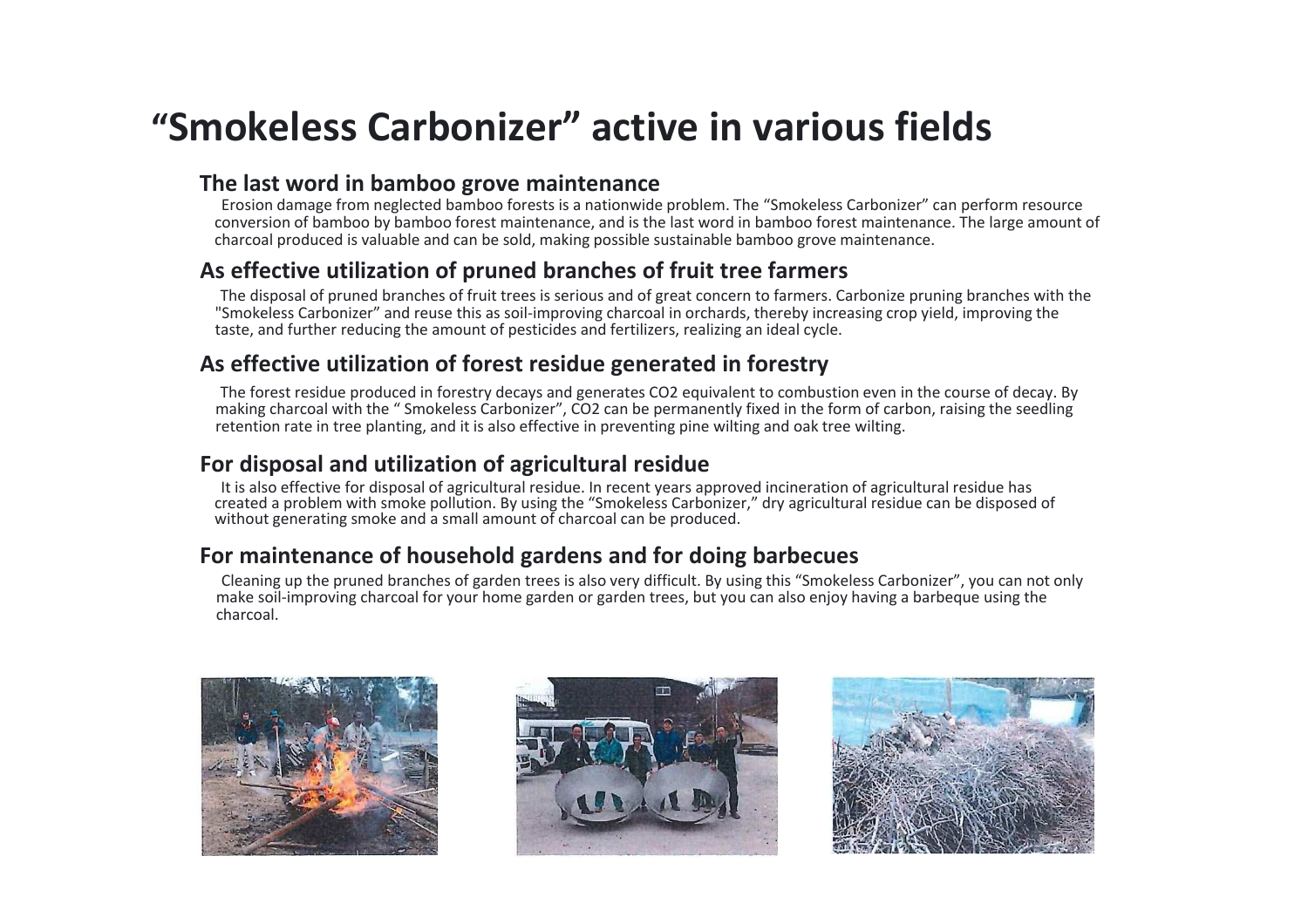# **"Smokeless Carbonizer" active in various fields**

### **The last word in bamboo grove maintenance**

 Erosion damage from neglected bamboo forests is a nationwide problem. The "Smokeless Carbonizer" can perform resource conversion of bamboo by bamboo forest maintenance, and is the last word in bamboo forest maintenance. The large amount of charcoal produced is valuable and can be sold, making possible sustainable bamboo grove maintenance.

### **As effective utilization of pruned branches of fruit tree farmers**

 The disposal of pruned branches of fruit trees is serious and of great concern to farmers. Carbonize pruning branches with the "Smokeless Carbonizer" and reuse this as soil-improving charcoal in orchards, thereby increasing crop yield, improving the taste, and further reducing the amount of pesticides and fertilizers, realizing an ideal cycle.

### **As effective utilization of forest residue generated in forestry**

 The forest residue produced in forestry decays and generates CO2 equivalent to combustion even in the course of decay. By making charcoal with the " Smokeless Carbonizer", CO2 can be permanently fixed in the form of carbon, raising the seedling retention rate in tree planting, and it is also effective in preventing pine wilting and oak tree wilting.

### **For disposal and utilization of agricultural residue**

 It is also effective for disposal of agricultural residue. In recent years approved incineration of agricultural residue has created a problem with smoke pollution. By using the "Smokeless Carbonizer," dry agricultural residue can be disposed of without generating smoke and a small amount of charcoal can be produced.

### **For maintenance of household gardens and for doing barbecues**

 Cleaning up the pruned branches of garden trees is also very difficult. By using this "Smokeless Carbonizer", you can not only make soil-improving charcoal for your home garden or garden trees, but you can also enjoy having a barbeque using the charcoal.





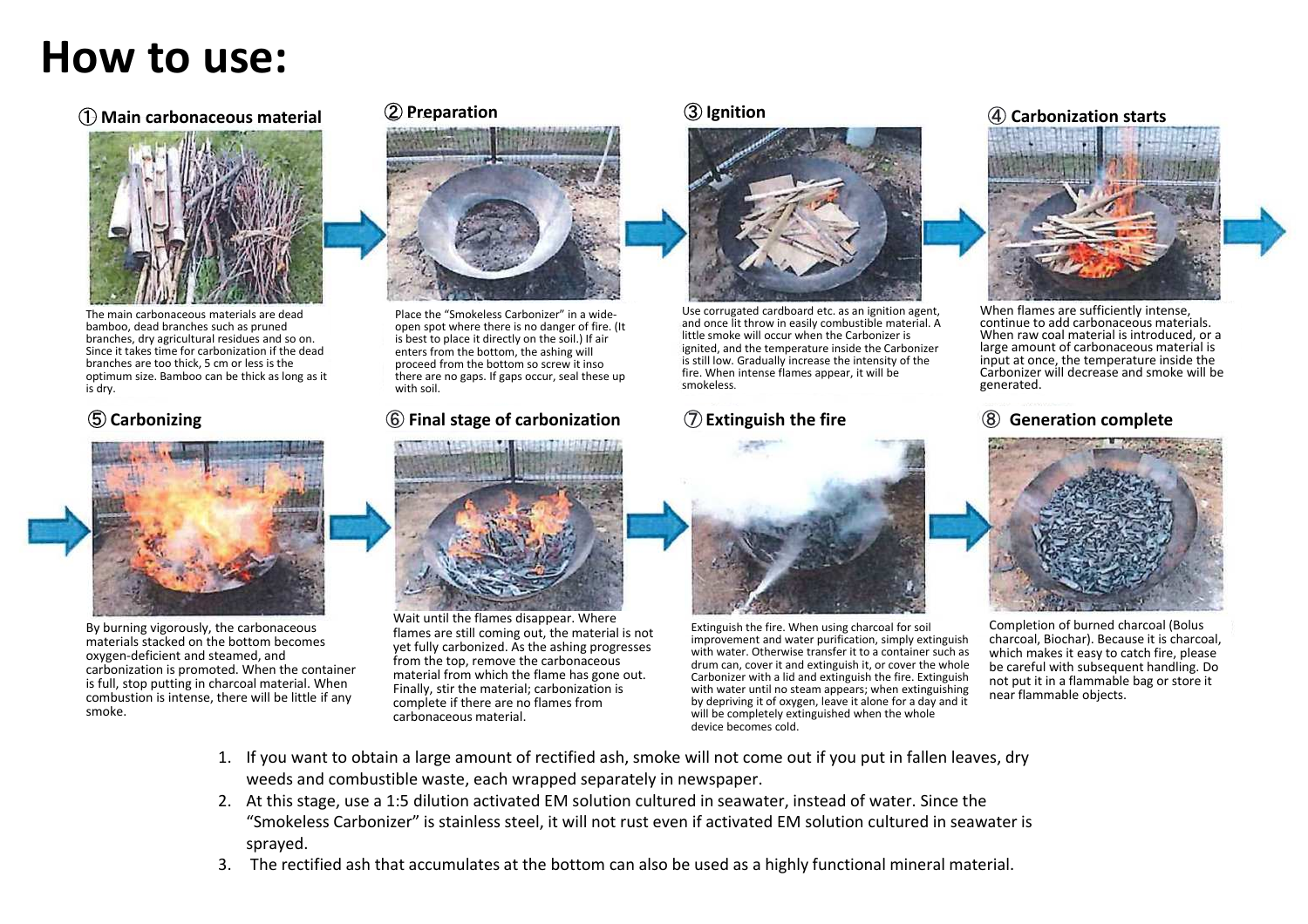# **How to use:**

### **1** Main carbonaceous material **Main carbonaceous material** <sup>②</sup> **Preparation** <sup>③</sup> **Ignition** <sup>④</sup> **Carbonization starts**



The main carbonaceous materials are dead bamboo, dead branches such as pruned branches, dry agricultural residues and so on. Since it takes time for carbonization if the dead branches are too thick, 5 cm or less is the optimum size. Bamboo can be thick as long as it is dry.

### **5** Carbonizing



By burning vigorously, the carbonaceous materials stacked on the bottom becomes oxygen-deficient and steamed, and carbonization is promoted. When the container is full, stop putting in charcoal material. When combustion is intense, there will be little if any smoke.



Place the "Smokeless Carbonizer" in a wideopen spot where there is no danger of fire. (It is best to place it directly on the soil.) If air enters from the bottom, the ashing will proceed from the bottom so screw it inso there are no gaps. If gaps occur, seal these up with soil.

### **Carbonizing** <sup>⑥</sup> **Final stage of carbonization**



Wait until the flames disappear. Where flames are still coming out, the material is not yet fully carbonized. As the ashing progresses from the top, remove the carbonaceous material from which the flame has gone out. Finally, stir the material; carbonization is complete if there are no flames from carbonaceous material.



Use corrugated cardboard etc. as an ignition agent, and once lit throw in easily combustible material. A little smoke will occur when the Carbonizer is ignited, and the temperature inside the Carbonizer is still low. Gradually increase the intensity of the fire. When intense flames appear, it will be smokeless.

## ⑦ **Extinguish the fire**



Extinguish the fire. When using charcoal for soil improvement and water purification, simply extinguish with water. Otherwise transfer it to a container such as drum can, cover it and extinguish it, or cover the whole Carbonizer with a lid and extinguish the fire. Extinguish with water until no steam appears; when extinguishing by depriving it of oxygen, leave it alone for a day and it will be completely extinguished when the whole device becomes cold.



When flames are sufficiently intense, continue to add carbonaceous materials. When raw coal material is introduced, or a large amount of carbonaceous material is input at once, the temperature inside the Carbonizer will decrease and smoke will be generated.

### ⑧**Generation complete**



Completion of burned charcoal (Bolus charcoal, Biochar). Because it is charcoal, which makes it easy to catch fire, please be careful with subsequent handling. Do not put it in a flammable bag or store it near flammable objects.

- 1. If you want to obtain a large amount of rectified ash, smoke will not come out if you put in fallen leaves, dry weeds and combustible waste, each wrapped separately in newspaper.
- 2. At this stage, use a 1:5 dilution activated EM solution cultured in seawater, instead of water. Since the "Smokeless Carbonizer" is stainless steel, it will not rust even if activated EM solution cultured in seawater is sprayed.
- 3. The rectified ash that accumulates at the bottom can also be used as a highly functional mineral material.